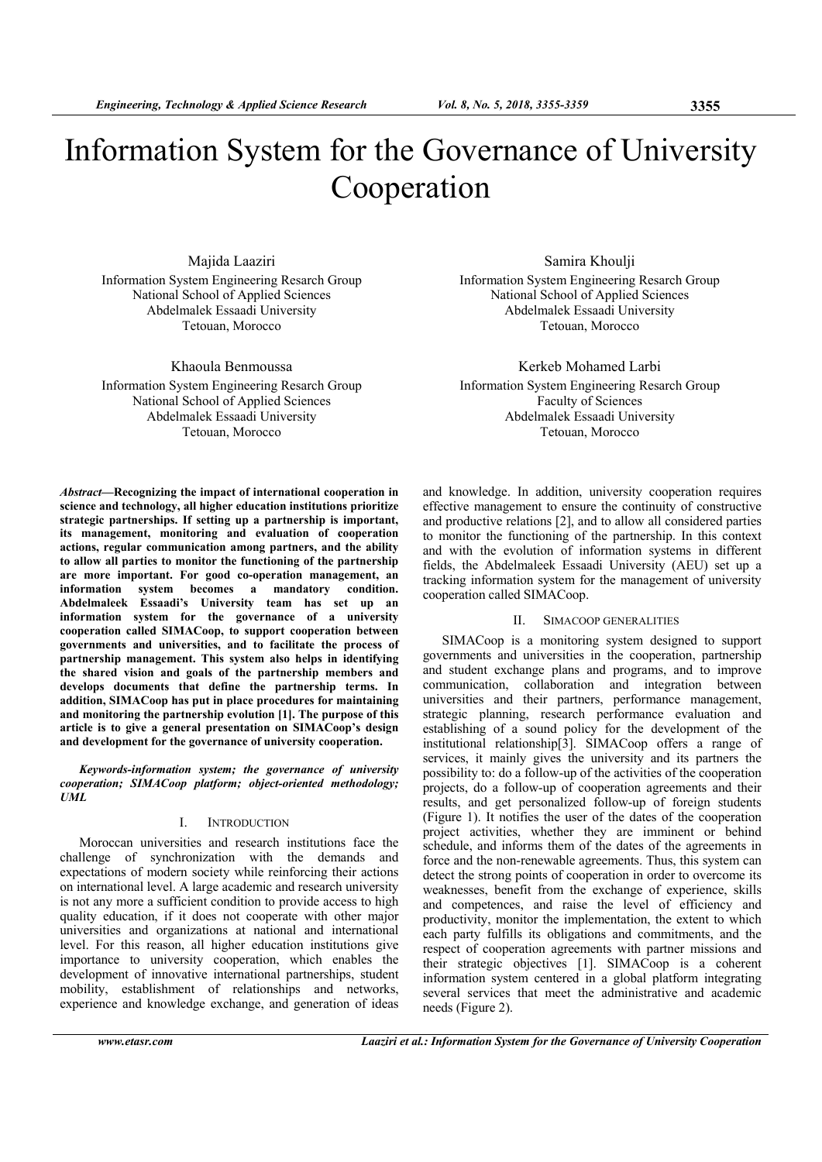# Information System for the Governance of University Cooperation

Majida Laaziri Information System Engineering Resarch Group National School of Applied Sciences Abdelmalek Essaadi University Tetouan, Morocco

Khaoula Benmoussa Information System Engineering Resarch Group National School of Applied Sciences Abdelmalek Essaadi University Tetouan, Morocco

Samira Khoulji Information System Engineering Resarch Group National School of Applied Sciences Abdelmalek Essaadi University Tetouan, Morocco

Kerkeb Mohamed Larbi Information System Engineering Resarch Group Faculty of Sciences Abdelmalek Essaadi University Tetouan, Morocco

*Abstract—***Recognizing the impact of international cooperation in science and technology, all higher education institutions prioritize strategic partnerships. If setting up a partnership is important, its management, monitoring and evaluation of cooperation actions, regular communication among partners, and the ability to allow all parties to monitor the functioning of the partnership are more important. For good co-operation management, an information system becomes a mandatory condition. Abdelmaleek Essaadi's University team has set up an information system for the governance of a university cooperation called SIMACoop, to support cooperation between governments and universities, and to facilitate the process of partnership management. This system also helps in identifying the shared vision and goals of the partnership members and develops documents that define the partnership terms. In addition, SIMACoop has put in place procedures for maintaining and monitoring the partnership evolution [1]. The purpose of this article is to give a general presentation on SIMACoop's design and development for the governance of university cooperation.** 

*Keywords-information system; the governance of university cooperation; SIMACoop platform; object-oriented methodology; UML* 

## I. INTRODUCTION

Moroccan universities and research institutions face the challenge of synchronization with the demands and expectations of modern society while reinforcing their actions on international level. A large academic and research university is not any more a sufficient condition to provide access to high quality education, if it does not cooperate with other major universities and organizations at national and international level. For this reason, all higher education institutions give importance to university cooperation, which enables the development of innovative international partnerships, student mobility, establishment of relationships and networks, experience and knowledge exchange, and generation of ideas and knowledge. In addition, university cooperation requires effective management to ensure the continuity of constructive and productive relations [2], and to allow all considered parties to monitor the functioning of the partnership. In this context and with the evolution of information systems in different fields, the Abdelmaleek Essaadi University (AEU) set up a tracking information system for the management of university cooperation called SIMACoop.

#### II. SIMACOOP GENERALITIES

SIMACoop is a monitoring system designed to support governments and universities in the cooperation, partnership and student exchange plans and programs, and to improve communication, collaboration and integration between universities and their partners, performance management, strategic planning, research performance evaluation and establishing of a sound policy for the development of the institutional relationship[3]. SIMACoop offers a range of services, it mainly gives the university and its partners the possibility to: do a follow-up of the activities of the cooperation projects, do a follow-up of cooperation agreements and their results, and get personalized follow-up of foreign students (Figure 1). It notifies the user of the dates of the cooperation project activities, whether they are imminent or behind schedule, and informs them of the dates of the agreements in force and the non-renewable agreements. Thus, this system can detect the strong points of cooperation in order to overcome its weaknesses, benefit from the exchange of experience, skills and competences, and raise the level of efficiency and productivity, monitor the implementation, the extent to which each party fulfills its obligations and commitments, and the respect of cooperation agreements with partner missions and their strategic objectives [1]. SIMACoop is a coherent information system centered in a global platform integrating several services that meet the administrative and academic needs (Figure 2).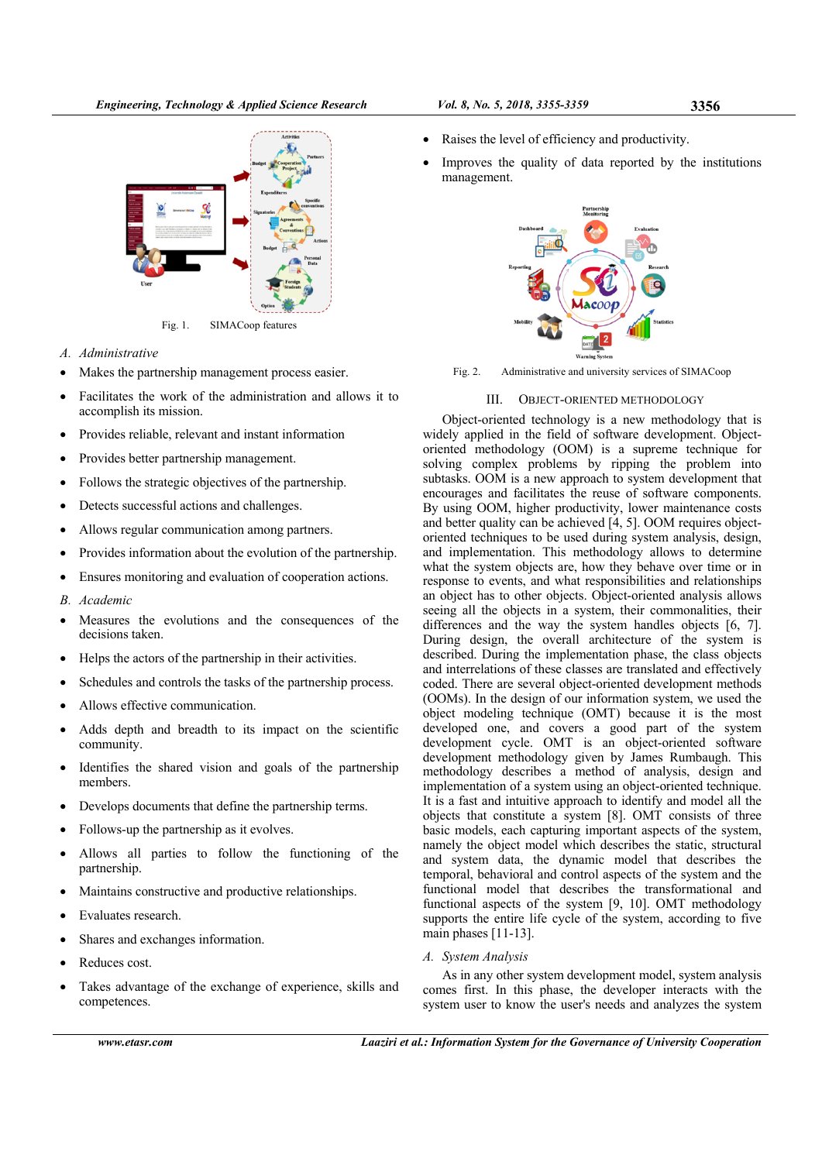

Fig. 1. SIMACoop features

- *A. Administrative*
- Makes the partnership management process easier.
- Facilitates the work of the administration and allows it to accomplish its mission.
- Provides reliable, relevant and instant information
- Provides better partnership management.
- Follows the strategic objectives of the partnership.
- Detects successful actions and challenges.
- Allows regular communication among partners.
- Provides information about the evolution of the partnership.
- Ensures monitoring and evaluation of cooperation actions.
- *B. Academic*
- Measures the evolutions and the consequences of the decisions taken.
- Helps the actors of the partnership in their activities.
- Schedules and controls the tasks of the partnership process.
- Allows effective communication.
- Adds depth and breadth to its impact on the scientific community.
- Identifies the shared vision and goals of the partnership members.
- Develops documents that define the partnership terms.
- Follows-up the partnership as it evolves.
- Allows all parties to follow the functioning of the partnership.
- Maintains constructive and productive relationships.
- Evaluates research.
- Shares and exchanges information.
- Reduces cost.
- Takes advantage of the exchange of experience, skills and competences.
- Raises the level of efficiency and productivity.
- Improves the quality of data reported by the institutions management.



Fig. 2. Administrative and university services of SIMACoop

# III. OBJECT-ORIENTED METHODOLOGY

Object-oriented technology is a new methodology that is widely applied in the field of software development. Objectoriented methodology (OOM) is a supreme technique for solving complex problems by ripping the problem into subtasks. OOM is a new approach to system development that encourages and facilitates the reuse of software components. By using OOM, higher productivity, lower maintenance costs and better quality can be achieved [4, 5]. OOM requires objectoriented techniques to be used during system analysis, design, and implementation. This methodology allows to determine what the system objects are, how they behave over time or in response to events, and what responsibilities and relationships an object has to other objects. Object-oriented analysis allows seeing all the objects in a system, their commonalities, their differences and the way the system handles objects [6, 7]. During design, the overall architecture of the system is described. During the implementation phase, the class objects and interrelations of these classes are translated and effectively coded. There are several object-oriented development methods (OOMs). In the design of our information system, we used the object modeling technique (OMT) because it is the most developed one, and covers a good part of the system development cycle. OMT is an object-oriented software development methodology given by James Rumbaugh. This methodology describes a method of analysis, design and implementation of a system using an object-oriented technique. It is a fast and intuitive approach to identify and model all the objects that constitute a system [8]. OMT consists of three basic models, each capturing important aspects of the system, namely the object model which describes the static, structural and system data, the dynamic model that describes the temporal, behavioral and control aspects of the system and the functional model that describes the transformational and functional aspects of the system [9, 10]. OMT methodology supports the entire life cycle of the system, according to five main phases [11-13].

# *A. System Analysis*

As in any other system development model, system analysis comes first. In this phase, the developer interacts with the system user to know the user's needs and analyzes the system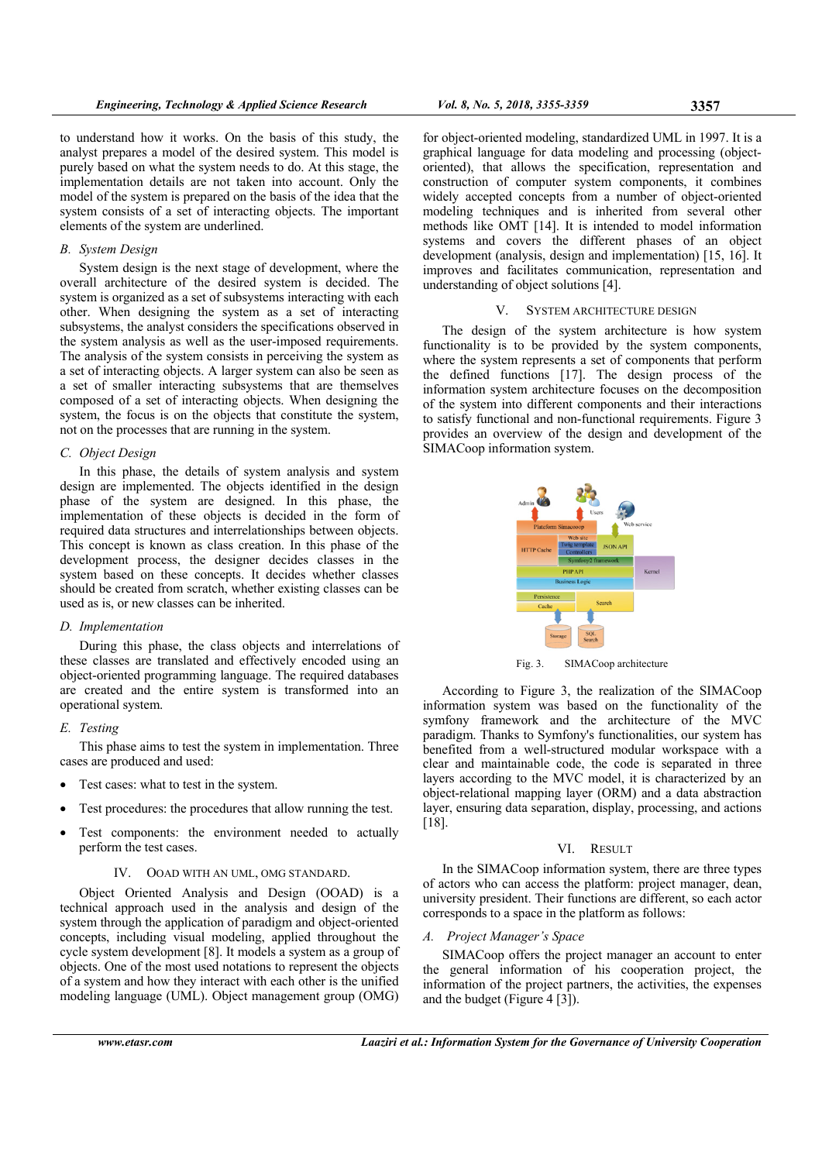to understand how it works. On the basis of this study, the analyst prepares a model of the desired system. This model is purely based on what the system needs to do. At this stage, the implementation details are not taken into account. Only the model of the system is prepared on the basis of the idea that the system consists of a set of interacting objects. The important elements of the system are underlined.

# *B. System Design*

System design is the next stage of development, where the overall architecture of the desired system is decided. The system is organized as a set of subsystems interacting with each other. When designing the system as a set of interacting subsystems, the analyst considers the specifications observed in the system analysis as well as the user-imposed requirements. The analysis of the system consists in perceiving the system as a set of interacting objects. A larger system can also be seen as a set of smaller interacting subsystems that are themselves composed of a set of interacting objects. When designing the system, the focus is on the objects that constitute the system, not on the processes that are running in the system.

#### *C. Object Design*

In this phase, the details of system analysis and system design are implemented. The objects identified in the design phase of the system are designed. In this phase, the implementation of these objects is decided in the form of required data structures and interrelationships between objects. This concept is known as class creation. In this phase of the development process, the designer decides classes in the system based on these concepts. It decides whether classes should be created from scratch, whether existing classes can be used as is, or new classes can be inherited.

#### *D. Implementation*

During this phase, the class objects and interrelations of these classes are translated and effectively encoded using an object-oriented programming language. The required databases are created and the entire system is transformed into an operational system.

## *E. Testing*

This phase aims to test the system in implementation. Three cases are produced and used:

- Test cases: what to test in the system.
- Test procedures: the procedures that allow running the test.
- Test components: the environment needed to actually perform the test cases.

#### IV. OOAD WITH AN UML, OMG STANDARD.

Object Oriented Analysis and Design (OOAD) is a technical approach used in the analysis and design of the system through the application of paradigm and object-oriented concepts, including visual modeling, applied throughout the cycle system development [8]. It models a system as a group of objects. One of the most used notations to represent the objects of a system and how they interact with each other is the unified modeling language (UML). Object management group (OMG)

for object-oriented modeling, standardized UML in 1997. It is a graphical language for data modeling and processing (objectoriented), that allows the specification, representation and construction of computer system components, it combines widely accepted concepts from a number of object-oriented modeling techniques and is inherited from several other methods like OMT [14]. It is intended to model information systems and covers the different phases of an object development (analysis, design and implementation) [15, 16]. It improves and facilitates communication, representation and understanding of object solutions [4].

## V. SYSTEM ARCHITECTURE DESIGN

The design of the system architecture is how system functionality is to be provided by the system components, where the system represents a set of components that perform the defined functions [17]. The design process of the information system architecture focuses on the decomposition of the system into different components and their interactions to satisfy functional and non-functional requirements. Figure 3 provides an overview of the design and development of the SIMACoop information system.



Fig. 3. SIMACoop architecture

According to Figure 3, the realization of the SIMACoop information system was based on the functionality of the symfony framework and the architecture of the MVC paradigm. Thanks to Symfony's functionalities, our system has benefited from a well-structured modular workspace with a clear and maintainable code, the code is separated in three layers according to the MVC model, it is characterized by an object-relational mapping layer (ORM) and a data abstraction layer, ensuring data separation, display, processing, and actions [18].

#### VI. RESULT

In the SIMACoop information system, there are three types of actors who can access the platform: project manager, dean, university president. Their functions are different, so each actor corresponds to a space in the platform as follows:

#### *A. Project Manager's Space*

SIMACoop offers the project manager an account to enter the general information of his cooperation project, the information of the project partners, the activities, the expenses and the budget (Figure 4 [3]).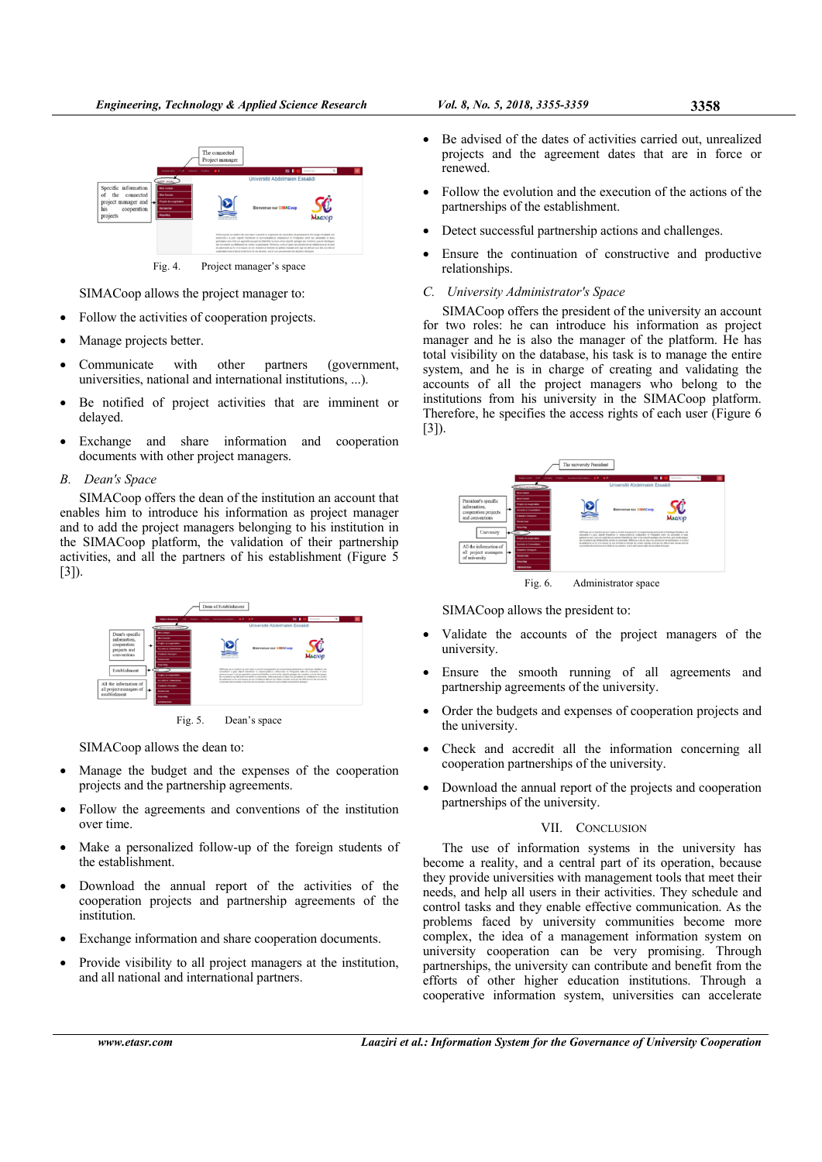

Fig. 4. Project manager's space

SIMACoop allows the project manager to:

- Follow the activities of cooperation projects.
- Manage projects better.
- Communicate with other partners (government, universities, national and international institutions, ...).
- Be notified of project activities that are imminent or delayed.
- Exchange and share information and cooperation documents with other project managers.
- *B. Dean's Space*

SIMACoop offers the dean of the institution an account that enables him to introduce his information as project manager and to add the project managers belonging to his institution in the SIMACoop platform, the validation of their partnership activities, and all the partners of his establishment (Figure 5 [3]).



SIMACoop allows the dean to:

- Manage the budget and the expenses of the cooperation projects and the partnership agreements.
- Follow the agreements and conventions of the institution over time.
- Make a personalized follow-up of the foreign students of the establishment.
- Download the annual report of the activities of the cooperation projects and partnership agreements of the institution.
- Exchange information and share cooperation documents.
- Provide visibility to all project managers at the institution, and all national and international partners.
- Be advised of the dates of activities carried out, unrealized projects and the agreement dates that are in force or renewed.
- Follow the evolution and the execution of the actions of the partnerships of the establishment.
- Detect successful partnership actions and challenges.
- Ensure the continuation of constructive and productive relationships.

#### *C. University Administrator's Space*

SIMACoop offers the president of the university an account for two roles: he can introduce his information as project manager and he is also the manager of the platform. He has total visibility on the database, his task is to manage the entire system, and he is in charge of creating and validating the accounts of all the project managers who belong to the institutions from his university in the SIMACoop platform. Therefore, he specifies the access rights of each user (Figure 6 [3]).



SIMACoop allows the president to:

- Validate the accounts of the project managers of the university.
- Ensure the smooth running of all agreements and partnership agreements of the university.
- Order the budgets and expenses of cooperation projects and the university.
- Check and accredit all the information concerning all cooperation partnerships of the university.
- Download the annual report of the projects and cooperation partnerships of the university.

## VII. CONCLUSION

The use of information systems in the university has become a reality, and a central part of its operation, because they provide universities with management tools that meet their needs, and help all users in their activities. They schedule and control tasks and they enable effective communication. As the problems faced by university communities become more complex, the idea of a management information system on university cooperation can be very promising. Through partnerships, the university can contribute and benefit from the efforts of other higher education institutions. Through a cooperative information system, universities can accelerate